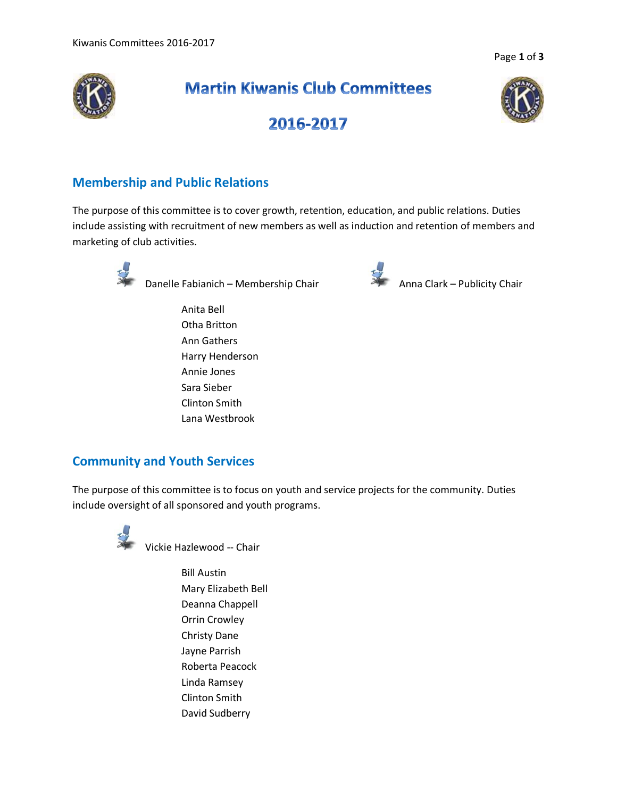Page **1** of **3**



# **Martin Kiwanis Club Committees**



2016-2017

## **Membership and Public Relations**

The purpose of this committee is to cover growth, retention, education, and public relations. Duties include assisting with recruitment of new members as well as induction and retention of members and marketing of club activities.



Danelle Fabianich – Membership Chair **Anna Clark – Publicity Chair** 

Anita Bell Otha Britton Ann Gathers Harry Henderson Annie Jones Sara Sieber Clinton Smith Lana Westbrook



## **Community and Youth Services**

The purpose of this committee is to focus on youth and service projects for the community. Duties include oversight of all sponsored and youth programs.



Vickie Hazlewood -- Chair

Bill Austin Mary Elizabeth Bell Deanna Chappell Orrin Crowley Christy Dane Jayne Parrish Roberta Peacock Linda Ramsey Clinton Smith David Sudberry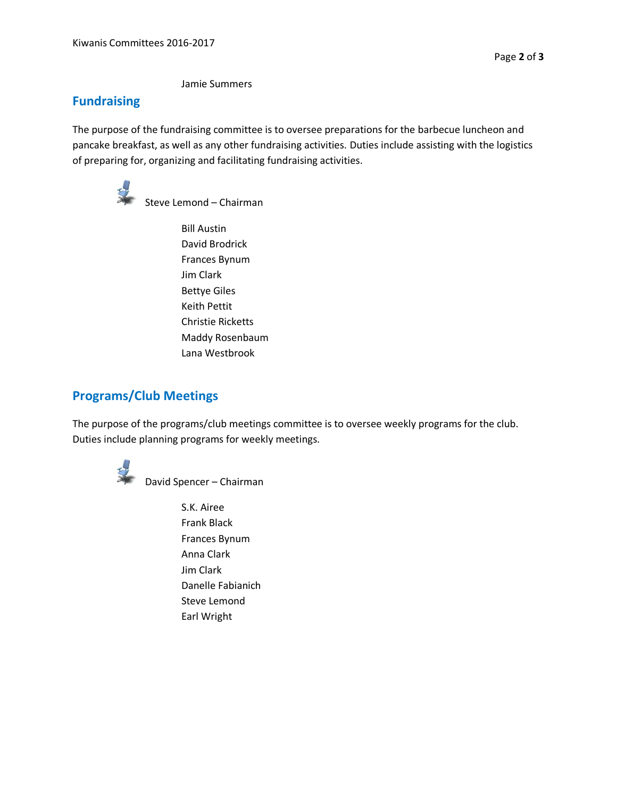Jamie Summers

#### **Fundraising**

The purpose of the fundraising committee is to oversee preparations for the barbecue luncheon and pancake breakfast, as well as any other fundraising activities. Duties include assisting with the logistics of preparing for, organizing and facilitating fundraising activities.



Steve Lemond – Chairman

Bill Austin David Brodrick Frances Bynum Jim Clark Bettye Giles Keith Pettit Christie Ricketts Maddy Rosenbaum Lana Westbrook

## **Programs/Club Meetings**

The purpose of the programs/club meetings committee is to oversee weekly programs for the club. Duties include planning programs for weekly meetings.



David Spencer – Chairman

S.K. Airee Frank Black Frances Bynum Anna Clark Jim Clark Danelle Fabianich Steve Lemond Earl Wright